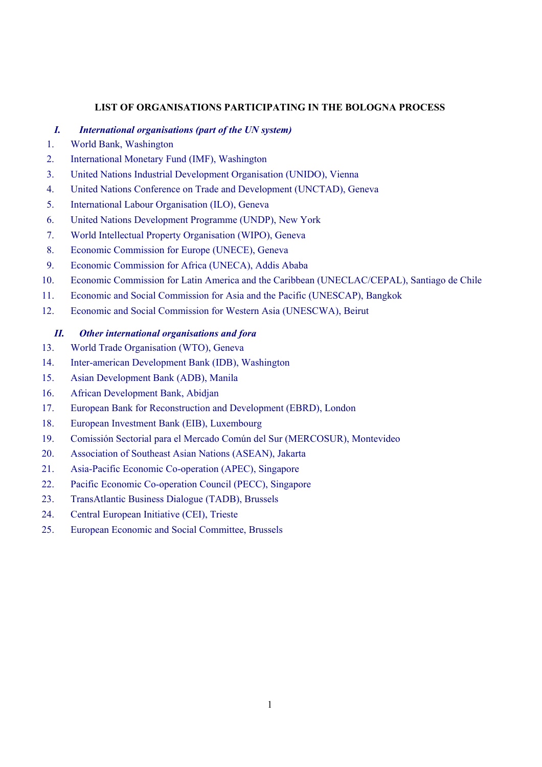## **LIST OF ORGANISATIONS PARTICIPATING IN THE BOLOGNA PROCESS**

## *I. International organisations (part of the UN system)*

- 1. World Bank, Washington
- 2. International Monetary Fund (IMF), Washington
- 3. United Nations Industrial Development Organisation (UNIDO), Vienna
- 4. United Nations Conference on Trade and Development (UNCTAD), Geneva
- 5. International Labour Organisation (ILO), Geneva
- 6. United Nations Development Programme (UNDP), New York
- 7. World Intellectual Property Organisation (WIPO), Geneva
- 8. Economic Commission for Europe (UNECE), Geneva
- 9. Economic Commission for Africa (UNECA), Addis Ababa
- 10. Economic Commission for Latin America and the Caribbean (UNECLAC/CEPAL), Santiago de Chile
- 11. Economic and Social Commission for Asia and the Pacific (UNESCAP), Bangkok
- 12. Economic and Social Commission for Western Asia (UNESCWA), Beirut

## *II. Other international organisations and fora*

- 13. World Trade Organisation (WTO), Geneva
- 14. Inter-american Development Bank (IDB), Washington
- 15. Asian Development Bank (ADB), Manila
- 16. African Development Bank, Abidjan
- 17. European Bank for Reconstruction and Development (EBRD), London
- 18. European Investment Bank (EIB), Luxembourg
- 19. Comissión Sectorial para el Mercado Común del Sur (MERCOSUR), Montevideo
- 20. Association of Southeast Asian Nations (ASEAN), Jakarta
- 21. Asia-Pacific Economic Co-operation (APEC), Singapore
- 22. Pacific Economic Co-operation Council (PECC), Singapore
- 23. TransAtlantic Business Dialogue (TADB), Brussels
- 24. Central European Initiative (CEI), Trieste
- 25. European Economic and Social Committee, Brussels